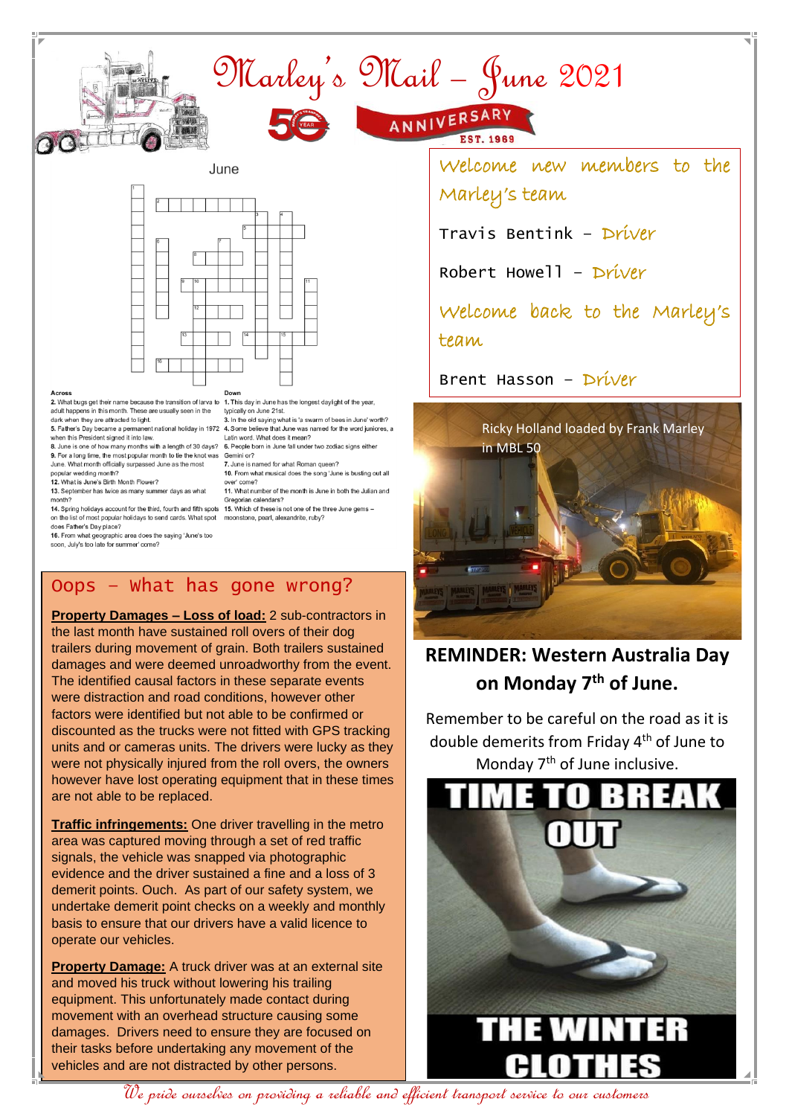

## Across

2.<br>2. What bugs get their name because the transition of larva to 1. This day in June has the longest daylight of the year, adult happens in this month. These are usually seen in the dark when they are attracted to light.

when this President signed it into law.<br>8. June is one of how many months with a length of 30 days?

9. For a long time, the most popular month to tie the knot was Gemini or? June. What month officially surpassed June as the most

popular wedding month? 12. What is June's Birth Month Flower? 13. September has twice as many summer days as what

month? 14. Spring holidays account for the third, fourth and fifth spots

on the list of most popular holidays to send cards. What spot does Father's Day place?

16. From what geographic area does the saying 'June's too soon, July's too late for summer' come?

typically on June 21st.

3. In the old saying what is 'a swarm of bees in June' worth? 5. Father's Day became a permanent national holiday in 1972 4. Some believe that June was named for the word juniores, a Latin word. What does it mean?

6. People born in June fall under two zodiac signs either

7. June is named for what Roman queen? 10. From what musical does the song 'June is busting out all

over' come? 11. What number of the month is June in both the Julian and Gregorian calendars?

15. Which of these is not one of the three June gems moonstone, pearl, alexandrite, ruby?

## Oops – What has gone wrong?

**Property Damages – Loss of load:** 2 sub-contractors in the last month have sustained roll overs of their dog trailers during movement of grain. Both trailers sustained damages and were deemed unroadworthy from the event. The identified causal factors in these separate events were distraction and road conditions, however other factors were identified but not able to be confirmed or discounted as the trucks were not fitted with GPS tracking units and or cameras units. The drivers were lucky as they were not physically injured from the roll overs, the owners however have lost operating equipment that in these times are not able to be replaced.

**Traffic infringements:** One driver travelling in the metro area was captured moving through a set of red traffic signals, the vehicle was snapped via photographic evidence and the driver sustained a fine and a loss of 3 demerit points. Ouch. As part of our safety system, we undertake demerit point checks on a weekly and monthly basis to ensure that our drivers have a valid licence to operate our vehicles.

**Property Damage:** A truck driver was at an external site and moved his truck without lowering his trailing equipment. This unfortunately made contact during movement with an overhead structure causing some damages. Drivers need to ensure they are focused on their tasks before undertaking any movement of the vehicles and are not distracted by other persons.

Welcome new members to the

Travis Bentink – Driver

Robert Howell – Driver

Welcome back to the Marley's team

Brent Hasson – Driver



## **REMINDER: Western Australia Day on Monday 7th of June.**

Remember to be careful on the road as it is double demerits from Friday 4<sup>th</sup> of June to Monday  $7<sup>th</sup>$  of June inclusive.



We pride ourselves on providing a reliable and efficient transport service to our customers